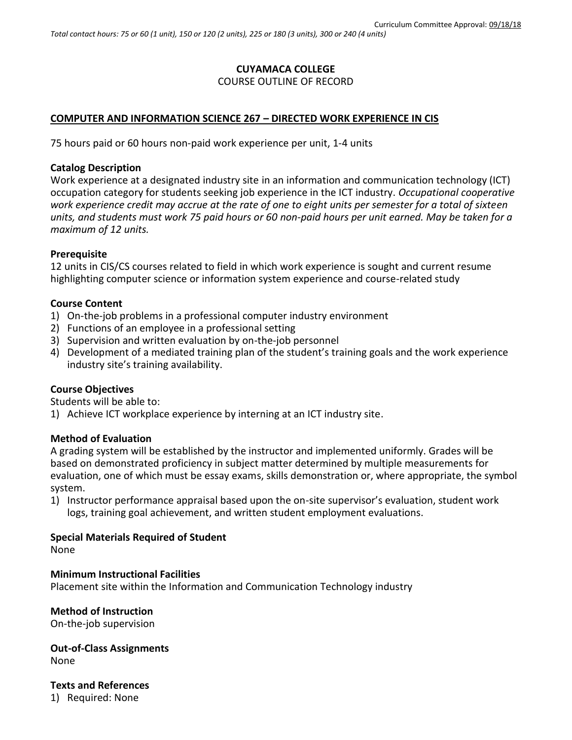#### **CUYAMACA COLLEGE** COURSE OUTLINE OF RECORD

# **COMPUTER AND INFORMATION SCIENCE 267 – DIRECTED WORK EXPERIENCE IN CIS**

75 hours paid or 60 hours non-paid work experience per unit, 1-4 units

## **Catalog Description**

Work experience at a designated industry site in an information and communication technology (ICT) occupation category for students seeking job experience in the ICT industry. *Occupational cooperative work experience credit may accrue at the rate of one to eight units per semester for a total of sixteen units, and students must work 75 paid hours or 60 non-paid hours per unit earned. May be taken for a maximum of 12 units.*

## **Prerequisite**

12 units in CIS/CS courses related to field in which work experience is sought and current resume highlighting computer science or information system experience and course-related study

## **Course Content**

- 1) On-the-job problems in a professional computer industry environment
- 2) Functions of an employee in a professional setting
- 3) Supervision and written evaluation by on-the-job personnel
- 4) Development of a mediated training plan of the student's training goals and the work experience industry site's training availability.

#### **Course Objectives**

Students will be able to:

1) Achieve ICT workplace experience by interning at an ICT industry site.

#### **Method of Evaluation**

A grading system will be established by the instructor and implemented uniformly. Grades will be based on demonstrated proficiency in subject matter determined by multiple measurements for evaluation, one of which must be essay exams, skills demonstration or, where appropriate, the symbol system.

1) Instructor performance appraisal based upon the on-site supervisor's evaluation, student work logs, training goal achievement, and written student employment evaluations.

#### **Special Materials Required of Student**

None

#### **Minimum Instructional Facilities**

Placement site within the Information and Communication Technology industry

# **Method of Instruction**

On-the-job supervision

#### **Out-of-Class Assignments** None

**Texts and References**

1) Required: None